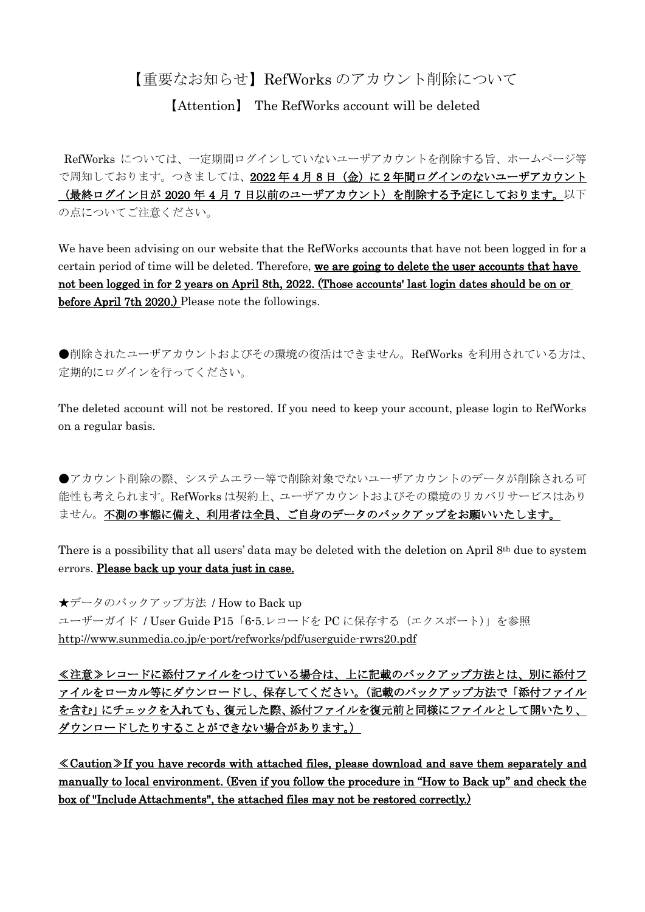## 【重要なお知らせ】RefWorks のアカウント削除について

【Attention】 The RefWorks account will be deleted

RefWorks については、一定期間ログインしていないユーザアカウントを削除する旨、ホームページ等 で周知しております。つきましては、2022年4月8日(金)に2年間ログインのないユーザアカウント (最終ログイン日が 2020 年 4 月 7 日以前のユーザアカウント)を削除する予定にしております。以下 の点についてご注意ください。

We have been advising on our website that the RefWorks accounts that have not been logged in for a certain period of time will be deleted. Therefore, we are going to delete the user accounts that have not been logged in for 2 years on April 8th, 2022. (Those accounts' last login dates should be on or before April 7th 2020.) Please note the followings.

●削除されたユーザアカウントおよびその環境の復活はできません。RefWorks を利用されている方は、 定期的にログインを行ってください。

The deleted account will not be restored. If you need to keep your account, please login to RefWorks on a regular basis.

●アカウント削除の際、システムエラー等で削除対象でないユーザアカウントのデータが削除される可 能性も考えられます。RefWorks は契約上、ユーザアカウントおよびその環境のリカバリサービスはあり ません。不測の事態に備え、利用者は全員、ご自身のデータのバックアップをお願いいたします。

There is a possibility that all users' data may be deleted with the deletion on April 8th due to system errors. Please back up your data just in case.

★データのバックアップ方法 / How to Back up ユーザーガイド / User Guide P15「6-5.レコードを PC に保存する(エクスポート)」を参照 <http://www.sunmedia.co.jp/e-port/refworks/pdf/userguide-rwrs20.pdf>

≪注意≫レコードに添付ファイルをつけている場合は、上に記載のバックアップ方法とは、別に添付フ ァイルをローカル等にダウンロードし、保存してください。(記載のバックアップ方法で「添付ファイル を含む」にチェックを入れても、復元した際、添付ファイルを復元前と同様にファイルとして開いたり、 ダウンロードしたりすることができない場合があります。)

≪Caution≫If you have records with attached files, please download and save them separately and manually to local environment. (Even if you follow the procedure in "How to Back up" and check the box of "Include Attachments", the attached files may not be restored correctly.)